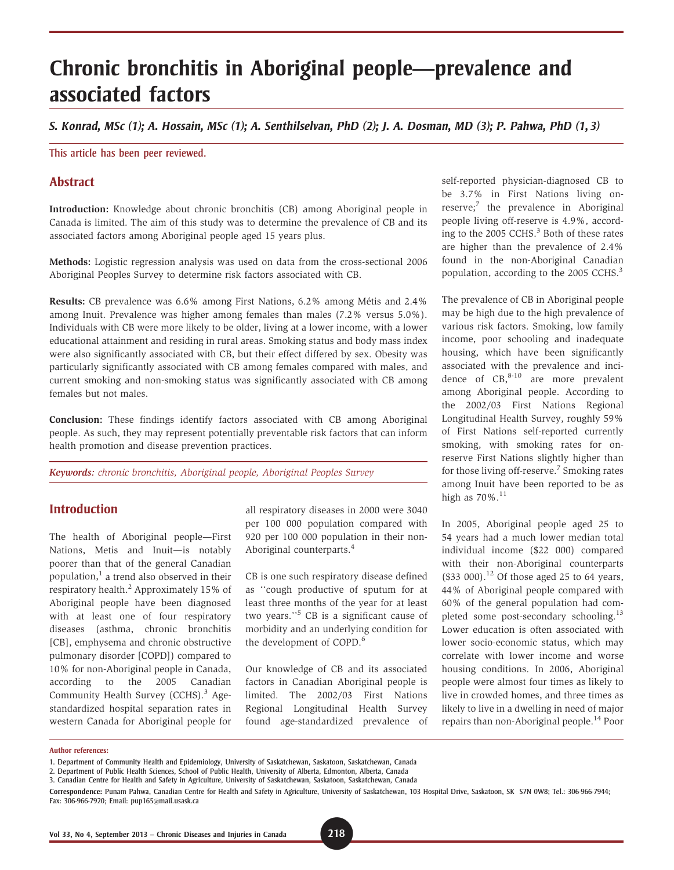# Chronic bronchitis in Aboriginal people—prevalence and associated factors

S. Konrad, MSc (1); A. Hossain, MSc (1); A. Senthilselvan, PhD (2); J. A. Dosman, MD (3); P. Pahwa, PhD (1, 3)

#### This article has been peer reviewed.

## **Abstract**

Introduction: Knowledge about chronic bronchitis (CB) among Aboriginal people in Canada is limited. The aim of this study was to determine the prevalence of CB and its associated factors among Aboriginal people aged 15 years plus.

Methods: Logistic regression analysis was used on data from the cross-sectional 2006 Aboriginal Peoples Survey to determine risk factors associated with CB.

Results: CB prevalence was 6.6% among First Nations, 6.2% among Métis and 2.4% among Inuit. Prevalence was higher among females than males (7.2% versus 5.0%). Individuals with CB were more likely to be older, living at a lower income, with a lower educational attainment and residing in rural areas. Smoking status and body mass index were also significantly associated with CB, but their effect differed by sex. Obesity was particularly significantly associated with CB among females compared with males, and current smoking and non-smoking status was significantly associated with CB among females but not males.

Conclusion: These findings identify factors associated with CB among Aboriginal people. As such, they may represent potentially preventable risk factors that can inform health promotion and disease prevention practices.

Keywords: chronic bronchitis, Aboriginal people, Aboriginal Peoples Survey

## Introduction

The health of Aboriginal people—First Nations, Metis and Inuit—is notably poorer than that of the general Canadian population, $<sup>1</sup>$  a trend also observed in their</sup> respiratory health.<sup>2</sup> Approximately 15% of Aboriginal people have been diagnosed with at least one of four respiratory diseases (asthma, chronic bronchitis [CB], emphysema and chronic obstructive pulmonary disorder [COPD]) compared to 10% for non-Aboriginal people in Canada, according to the 2005 Canadian Community Health Survey (CCHS).<sup>3</sup> Agestandardized hospital separation rates in western Canada for Aboriginal people for

all respiratory diseases in 2000 were 3040 per 100 000 population compared with 920 per 100 000 population in their non-Aboriginal counterparts.<sup>4</sup>

CB is one such respiratory disease defined as ''cough productive of sputum for at least three months of the year for at least two years.''<sup>5</sup> CB is a significant cause of morbidity and an underlying condition for the development of COPD.<sup>6</sup>

Our knowledge of CB and its associated factors in Canadian Aboriginal people is limited. The 2002/03 First Nations Regional Longitudinal Health Survey found age-standardized prevalence of

self-reported physician-diagnosed CB to be 3.7% in First Nations living on $reserve;$ <sup>7</sup> the prevalence in Aboriginal people living off-reserve is 4.9%, according to the 2005 CCHS.<sup>3</sup> Both of these rates are higher than the prevalence of 2.4% found in the non-Aboriginal Canadian population, according to the 2005 CCHS.<sup>3</sup>

The prevalence of CB in Aboriginal people may be high due to the high prevalence of various risk factors. Smoking, low family income, poor schooling and inadequate housing, which have been significantly associated with the prevalence and incidence of  $CB$ ,  $8-10$  are more prevalent among Aboriginal people. According to the 2002/03 First Nations Regional Longitudinal Health Survey, roughly 59% of First Nations self-reported currently smoking, with smoking rates for onreserve First Nations slightly higher than for those living off-reserve.<sup>7</sup> Smoking rates among Inuit have been reported to be as high as  $70\%$ .<sup>11</sup>

In 2005, Aboriginal people aged 25 to 54 years had a much lower median total individual income (\$22 000) compared with their non-Aboriginal counterparts  $($33 000).<sup>12</sup>$  Of those aged 25 to 64 years, 44% of Aboriginal people compared with 60% of the general population had completed some post-secondary schooling.<sup>13</sup> Lower education is often associated with lower socio-economic status, which may correlate with lower income and worse housing conditions. In 2006, Aboriginal people were almost four times as likely to live in crowded homes, and three times as likely to live in a dwelling in need of major repairs than non-Aboriginal people.14 Poor

Author references:

<sup>1.</sup> Department of Community Health and Epidemiology, University of Saskatchewan, Saskatoon, Saskatchewan, Canada

<sup>2.</sup> Department of Public Health Sciences, School of Public Health, University of Alberta, Edmonton, Alberta, Canada

<sup>3.</sup> Canadian Centre for Health and Safety in Agriculture, University of Saskatchewan, Saskatoon, Saskatchewan, Canada

Correspondence: Punam Pahwa, Canadian Centre for Health and Safety in Agriculture, University of Saskatchewan, 103 Hospital Drive, Saskatoon, SK S7N 0W8; Tel.: 306-966-7944; Fax: 306-966-7920; Email: pup165@mail.usask.ca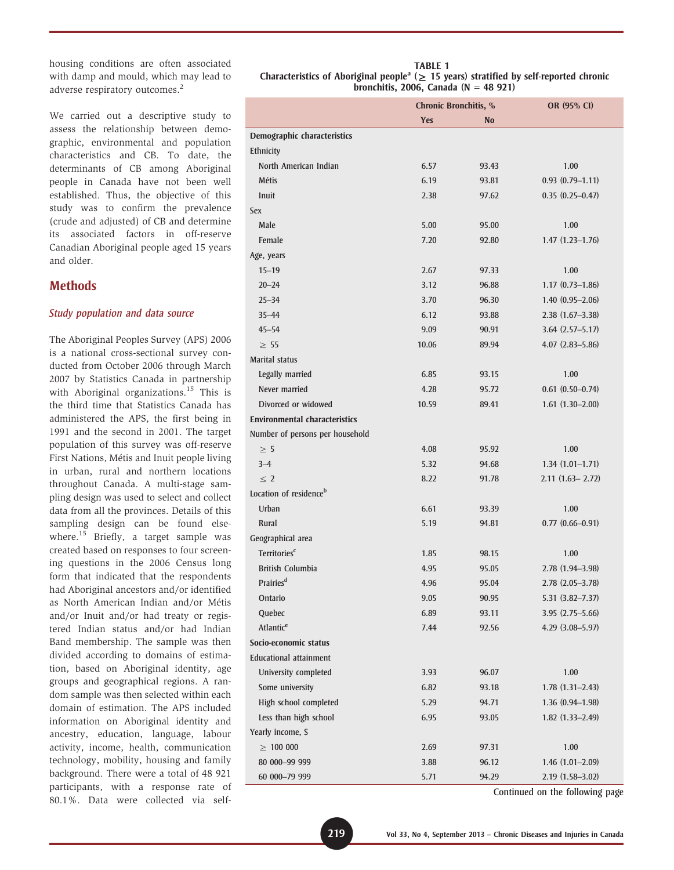housing conditions are often associated with damp and mould, which may lead to adverse respiratory outcomes.<sup>2</sup>

We carried out a descriptive study to assess the relationship between demographic, environmental and population characteristics and CB. To date, the determinants of CB among Aboriginal people in Canada have not been well established. Thus, the objective of this study was to confirm the prevalence (crude and adjusted) of CB and determine its associated factors in off-reserve Canadian Aboriginal people aged 15 years and older.

## **Methods**

#### Study population and data source

The Aboriginal Peoples Survey (APS) 2006 is a national cross-sectional survey conducted from October 2006 through March 2007 by Statistics Canada in partnership with Aboriginal organizations.<sup>15</sup> This is the third time that Statistics Canada has administered the APS, the first being in 1991 and the second in 2001. The target population of this survey was off-reserve First Nations, Métis and Inuit people living in urban, rural and northern locations throughout Canada. A multi-stage sampling design was used to select and collect data from all the provinces. Details of this sampling design can be found elsewhere.<sup>15</sup> Briefly, a target sample was created based on responses to four screening questions in the 2006 Census long form that indicated that the respondents had Aboriginal ancestors and/or identified as North American Indian and/or Métis and/or Inuit and/or had treaty or registered Indian status and/or had Indian Band membership. The sample was then divided according to domains of estimation, based on Aboriginal identity, age groups and geographical regions. A random sample was then selected within each domain of estimation. The APS included information on Aboriginal identity and ancestry, education, language, labour activity, income, health, communication technology, mobility, housing and family background. There were a total of 48 921 participants, with a response rate of 80.1%. Data were collected via self-

TABLE 1 Characteristics of Aboriginal people<sup>a</sup> ( $\geq$  15 years) stratified by self-reported chronic bronchitis, 2006, Canada ( $N = 48921$ )

|                                      | Chronic Bronchitis, % |           | OR (95% CI)            |
|--------------------------------------|-----------------------|-----------|------------------------|
|                                      | <b>Yes</b>            | <b>No</b> |                        |
| Demographic characteristics          |                       |           |                        |
| Ethnicity                            |                       |           |                        |
| North American Indian                | 6.57                  | 93.43     | 1.00                   |
| <b>Métis</b>                         | 6.19                  | 93.81     | $0.93(0.79-1.11)$      |
| Inuit                                | 2.38                  | 97.62     | $0.35(0.25-0.47)$      |
| <b>Sex</b>                           |                       |           |                        |
| Male                                 | 5.00                  | 95.00     | 1.00                   |
| Female                               | 7.20                  | 92.80     | $1.47(1.23 - 1.76)$    |
| Age, years                           |                       |           |                        |
| $15 - 19$                            | 2.67                  | 97.33     | 1.00                   |
| $20 - 24$                            | 3.12                  | 96.88     | $1.17(0.73 - 1.86)$    |
| $25 - 34$                            | 3.70                  | 96.30     | $1.40(0.95 - 2.06)$    |
| $35 - 44$                            | 6.12                  | 93.88     | $2.38(1.67 - 3.38)$    |
| $45 - 54$                            | 9.09                  | 90.91     | $3.64$ $(2.57 - 5.17)$ |
| $\geq 55$                            | 10.06                 | 89.94     | $4.07(2.83 - 5.86)$    |
| <b>Marital status</b>                |                       |           |                        |
| Legally married                      | 6.85                  | 93.15     | 1.00                   |
| Never married                        | 4.28                  | 95.72     | $0.61(0.50 - 0.74)$    |
| Divorced or widowed                  | 10.59                 | 89.41     | $1.61(1.30-2.00)$      |
| <b>Environmental characteristics</b> |                       |           |                        |
| Number of persons per household      |                       |           |                        |
| $\geq 5$                             | 4.08                  | 95.92     | 1.00                   |
| $3 - 4$                              | 5.32                  | 94.68     | $1.34(1.01-1.71)$      |
| $\leq$ 2                             | 8.22                  | 91.78     | $2.11(1.63 - 2.72)$    |
| Location of residence <sup>b</sup>   |                       |           |                        |
| Urban                                | 6.61                  | 93.39     | 1.00                   |
| <b>Rural</b>                         | 5.19                  | 94.81     | $0.77$ $(0.66 - 0.91)$ |
| Geographical area                    |                       |           |                        |
| <b>Territories</b> <sup>c</sup>      | 1.85                  | 98.15     | 1.00                   |
| <b>British Columbia</b>              | 4.95                  | 95.05     | $2.78(1.94 - 3.98)$    |
| Prairies <sup>d</sup>                | 4.96                  | 95.04     | 2.78 (2.05-3.78)       |
| Ontario                              | 9.05                  | 90.95     | 5.31 (3.82–7.37)       |
| Quebec                               | 6.89                  | 93.11     | $3.95(2.75 - 5.66)$    |
| Atlantic <sup>e</sup>                | 7.44                  | 92.56     | $4.29(3.08 - 5.97)$    |
| Socio-economic status                |                       |           |                        |
| <b>Educational attainment</b>        |                       |           |                        |
| University completed                 | 3.93                  | 96.07     | 1.00                   |
| Some university                      | 6.82                  | 93.18     | $1.78(1.31 - 2.43)$    |
| High school completed                | 5.29                  | 94.71     | 1.36 (0.94-1.98)       |
| Less than high school                | 6.95                  | 93.05     | $1.82(1.33 - 2.49)$    |
| Yearly income, \$                    |                       |           |                        |
| $\geq 100000$                        | 2.69                  | 97.31     | 1.00                   |
| 80 000-99 999                        | 3.88                  | 96.12     | $1.46(1.01-2.09)$      |
| 60 000-79 999                        | 5.71                  | 94.29     | 2.19 (1.58-3.02)       |

Continued on the following page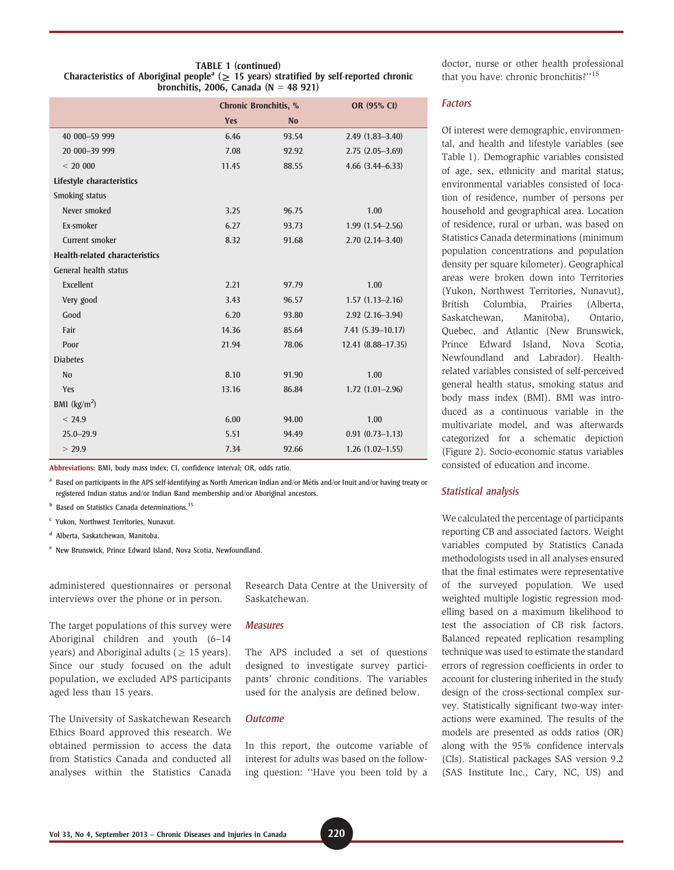TABLE 1 (continued)

|                                       | <b>Chronic Bronchitis, %</b> |           | OR (95% CI)            |
|---------------------------------------|------------------------------|-----------|------------------------|
|                                       | <b>Yes</b>                   | <b>No</b> |                        |
| 40 000-59 999                         | 6.46                         | 93.54     | $2.49(1.83 - 3.40)$    |
| 20 000-39 999                         | 7.08                         | 92.92     | $2.75(2.05-3.69)$      |
| < 20000                               | 11.45                        | 88.55     | $4.66$ $(3.44 - 6.33)$ |
| Lifestyle characteristics             |                              |           |                        |
| Smoking status                        |                              |           |                        |
| Never smoked                          | 3.25                         | 96.75     | 1.00                   |
| Ex-smoker                             | 6.27                         | 93.73     | $1.99(1.54 - 2.56)$    |
| Current smoker                        | 8.32                         | 91.68     | $2.70(2.14 - 3.40)$    |
| <b>Health-related characteristics</b> |                              |           |                        |
| General health status                 |                              |           |                        |
| Excellent                             | 2.21                         | 97.79     | 1.00                   |
| Very good                             | 3.43                         | 96.57     | $1.57(1.13 - 2.16)$    |
| Good                                  | 6.20                         | 93.80     | $2.92(2.16 - 3.94)$    |
| Fair                                  | 14.36                        | 85.64     | $7.41(5.39 - 10.17)$   |
| Poor                                  | 21.94                        | 78.06     | 12.41 (8.88-17.35)     |
| <b>Diabetes</b>                       |                              |           |                        |
| N <sub>0</sub>                        | 8.10                         | 91.90     | 1.00                   |
| Yes                                   | 13.16                        | 86.84     | $1.72(1.01-2.96)$      |
| BMI $(kg/m2)$                         |                              |           |                        |
| < 24.9                                | 6.00                         | 94.00     | 1.00                   |
| $25.0 - 29.9$                         | 5.51                         | 94.49     | $0.91(0.73 - 1.13)$    |
| > 29.9                                | 7.34                         | 92.66     | $1.26(1.02 - 1.55)$    |

Abbreviations: BMI, body mass index; CI, confidence interval; OR, odds ratio.

<sup>a</sup> Based on participants in the APS self-identifying as North American Indian and/or Métis and/or Inuit and/or having treaty or registered Indian status and/or Indian Band membership and/or Aboriginal ancestors.

**b** Based on Statistics Canada determinations.<sup>15</sup>

- <sup>c</sup> Yukon, Northwest Territories, Nunavut.
- <sup>d</sup> Alberta, Saskatchewan, Manitoba.
- <sup>e</sup> New Brunswick, Prince Edward Island, Nova Scotia, Newfoundland.

administered questionnaires or personal interviews over the phone or in person.

The target populations of this survey were Aboriginal children and youth (6–14 years) and Aboriginal adults ( $\geq$  15 years). Since our study focused on the adult population, we excluded APS participants aged less than 15 years.

The University of Saskatchewan Research Ethics Board approved this research. We obtained permission to access the data from Statistics Canada and conducted all analyses within the Statistics Canada Research Data Centre at the University of Saskatchewan.

#### **Measures**

The APS included a set of questions designed to investigate survey participants' chronic conditions. The variables used for the analysis are defined below.

#### **Outcome**

In this report, the outcome variable of interest for adults was based on the following question: ''Have you been told by a doctor, nurse or other health professional that you have: chronic bronchitis?"<sup>15</sup>

#### Factors

Of interest were demographic, environmental, and health and lifestyle variables (see Table 1). Demographic variables consisted of age, sex, ethnicity and marital status; environmental variables consisted of location of residence, number of persons per household and geographical area. Location of residence, rural or urban, was based on Statistics Canada determinations (minimum population concentrations and population density per square kilometer). Geographical areas were broken down into Territories (Yukon, Northwest Territories, Nunavut), British Columbia, Prairies (Alberta, Saskatchewan, Manitoba), Ontario, Quebec, and Atlantic (New Brunswick, Prince Edward Island, Nova Scotia, Newfoundland and Labrador). Healthrelated variables consisted of self-perceived general health status, smoking status and body mass index (BMI). BMI was introduced as a continuous variable in the multivariate model, and was afterwards categorized for a schematic depiction (Figure 2). Socio-economic status variables consisted of education and income.

#### Statistical analysis

We calculated the percentage of participants reporting CB and associated factors. Weight variables computed by Statistics Canada methodologists used in all analyses ensured that the final estimates were representative of the surveyed population. We used weighted multiple logistic regression modelling based on a maximum likelihood to test the association of CB risk factors. Balanced repeated replication resampling technique was used to estimate the standard errors of regression coefficients in order to account for clustering inherited in the study design of the cross-sectional complex survey. Statistically significant two-way interactions were examined. The results of the models are presented as odds ratios (OR) along with the 95% confidence intervals (CIs). Statistical packages SAS version 9.2 (SAS Institute Inc., Cary, NC, US) and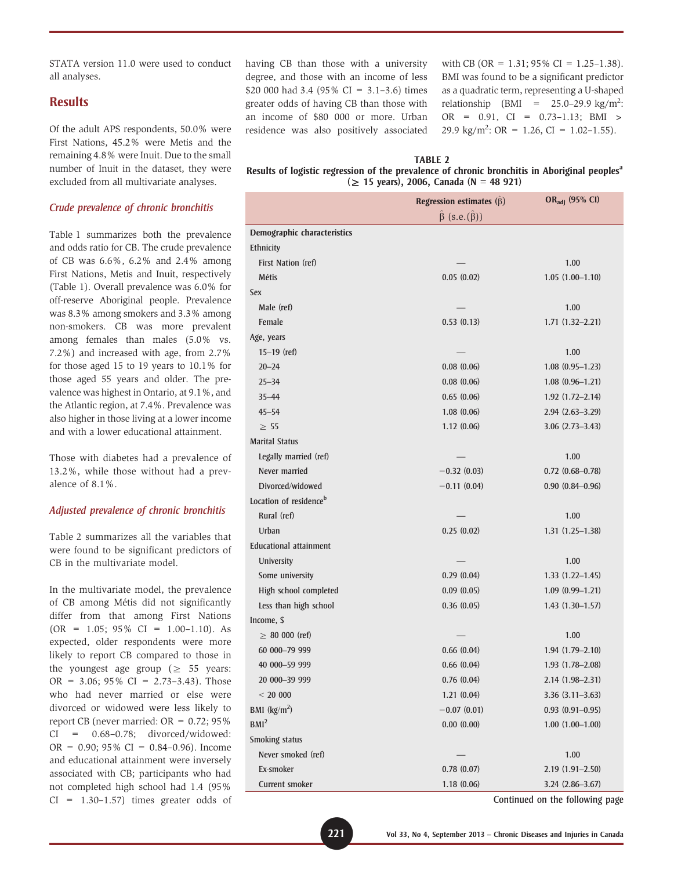STATA version 11.0 were used to conduct all analyses.

## **Results**

Of the adult APS respondents, 50.0% were First Nations, 45.2% were Metis and the remaining 4.8% were Inuit. Due to the small number of Inuit in the dataset, they were excluded from all multivariate analyses.

#### Crude prevalence of chronic bronchitis

Table 1 summarizes both the prevalence and odds ratio for CB. The crude prevalence of CB was 6.6%, 6.2% and 2.4% among First Nations, Metis and Inuit, respectively (Table 1). Overall prevalence was 6.0% for off-reserve Aboriginal people. Prevalence was 8.3% among smokers and 3.3% among non-smokers. CB was more prevalent among females than males (5.0% vs. 7.2%) and increased with age, from 2.7% for those aged 15 to 19 years to 10.1% for those aged 55 years and older. The prevalence was highest in Ontario, at 9.1%, and the Atlantic region, at 7.4%. Prevalence was also higher in those living at a lower income and with a lower educational attainment.

Those with diabetes had a prevalence of 13.2%, while those without had a prevalence of 8.1%.

#### Adjusted prevalence of chronic bronchitis

Table 2 summarizes all the variables that were found to be significant predictors of CB in the multivariate model.

In the multivariate model, the prevalence of CB among Métis did not significantly differ from that among First Nations  $(OR = 1.05; 95\% CI = 1.00-1.10)$ . As expected, older respondents were more likely to report CB compared to those in the youngest age group ( $\geq$  55 years:  $OR = 3.06$ ; 95%  $CI = 2.73 - 3.43$ ). Those who had never married or else were divorced or widowed were less likely to report CB (never married:  $OR = 0.72$ ; 95% CI = 0.68–0.78; divorced/widowed:  $OR = 0.90$ ; 95%  $CI = 0.84 - 0.96$ ). Income and educational attainment were inversely associated with CB; participants who had not completed high school had 1.4 (95%  $CI = 1.30 - 1.57$  times greater odds of

having CB than those with a university degree, and those with an income of less \$20 000 had 3.4 (95% CI = 3.1–3.6) times greater odds of having CB than those with an income of \$80 000 or more. Urban residence was also positively associated

with CB (OR =  $1.31$ ; 95% CI =  $1.25-1.38$ ). BMI was found to be a significant predictor as a quadratic term, representing a U-shaped relationship (BMI =  $25.0-29.9$  kg/m<sup>2</sup>: OR = 0.91, CI = 0.73–1.13; BMI > 29.9 kg/m<sup>2</sup>: OR = 1.26, CI = 1.02-1.55).

#### TABLE 2

#### Results of logistic regression of the prevalence of chronic bronchitis in Aboriginal peoples<sup>a</sup>  $( \geq 15 \text{ years}), 2006, \text{ Canada } (N = 48 \text{ 921})$

|                                    | Regression estimates $(\hat{\beta})$  | OR <sub>adj</sub> (95% CI) |  |
|------------------------------------|---------------------------------------|----------------------------|--|
|                                    | $\hat{\beta}$ (s.e.( $\hat{\beta}$ )) |                            |  |
| Demographic characteristics        |                                       |                            |  |
| Ethnicity                          |                                       |                            |  |
| First Nation (ref)                 |                                       | 1.00                       |  |
| <b>Métis</b>                       | 0.05(0.02)                            | $1.05(1.00-1.10)$          |  |
| <b>Sex</b>                         |                                       |                            |  |
| Male (ref)                         |                                       | 1.00                       |  |
| Female                             | 0.53(0.13)                            | $1.71(1.32 - 2.21)$        |  |
| Age, years                         |                                       |                            |  |
| $15-19$ (ref)                      |                                       | 1.00                       |  |
| $20 - 24$                          | 0.08(0.06)                            | $1.08(0.95-1.23)$          |  |
| $25 - 34$                          | 0.08(0.06)                            | $1.08(0.96 - 1.21)$        |  |
| $35 - 44$                          | 0.65(0.06)                            | $1.92(1.72 - 2.14)$        |  |
| $45 - 54$                          | 1.08(0.06)                            | $2.94(2.63 - 3.29)$        |  |
| $\geq 55$                          | 1.12(0.06)                            | $3.06$ $(2.73 - 3.43)$     |  |
| <b>Marital Status</b>              |                                       |                            |  |
| Legally married (ref)              |                                       | 1.00                       |  |
| Never married                      | $-0.32(0.03)$                         | $0.72$ $(0.68 - 0.78)$     |  |
| Divorced/widowed                   | $-0.11(0.04)$                         | $0.90(0.84 - 0.96)$        |  |
| Location of residence <sup>b</sup> |                                       |                            |  |
| Rural (ref)                        |                                       | 1.00                       |  |
| Urban                              | 0.25(0.02)                            | $1.31(1.25-1.38)$          |  |
| <b>Educational attainment</b>      |                                       |                            |  |
| University                         |                                       | 1.00                       |  |
| Some university                    | 0.29(0.04)                            | $1.33(1.22 - 1.45)$        |  |
| High school completed              | 0.09(0.05)                            | $1.09(0.99 - 1.21)$        |  |
| Less than high school              | 0.36(0.05)                            | $1.43(1.30-1.57)$          |  |
| Income, \$                         |                                       |                            |  |
| $\geq 80000$ (ref)                 |                                       | 1.00                       |  |
| 60 000-79 999                      | 0.66(0.04)                            | $1.94(1.79-2.10)$          |  |
| 40 000-59 999                      | 0.66(0.04)                            | $1.93(1.78-2.08)$          |  |
| 20 000-39 999                      | 0.76(0.04)                            | $2.14(1.98 - 2.31)$        |  |
| < 20000                            | 1.21(0.04)                            | $3.36(3.11 - 3.63)$        |  |
| BMI $(kg/m2)$                      | $-0.07(0.01)$                         | $0.93$ $(0.91 - 0.95)$     |  |
| BMl <sup>2</sup>                   | 0.00(0.00)                            | $1.00$ $(1.00-1.00)$       |  |
| Smoking status                     |                                       |                            |  |
| Never smoked (ref)                 |                                       | 1.00                       |  |
| Ex-smoker                          | 0.78(0.07)                            | $2.19(1.91 - 2.50)$        |  |
| Current smoker                     | 1.18(0.06)                            | $3.24(2.86 - 3.67)$        |  |

Continued on the following page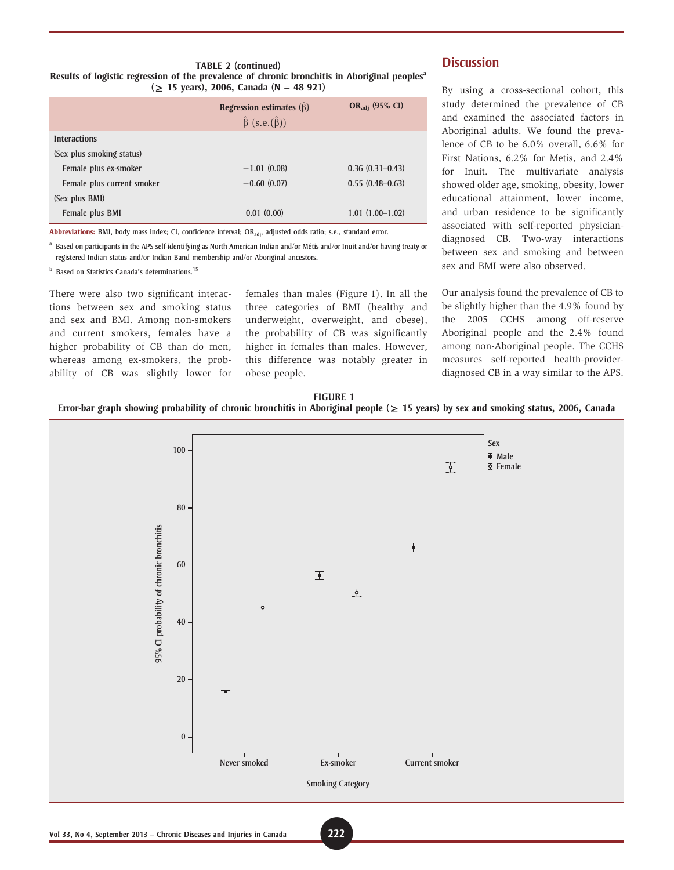#### TABLE 2 (continued) Results of logistic regression of the prevalence of chronic bronchitis in Aboriginal peoples<sup>a</sup>  $( \geq 15 \text{ years}), 2006, \text{ Canada } (N = 48 \text{ 921})$

|                            | Regression estimates $(\hat{\beta})$  | $OR_{\text{adi}}$ (95% CI) |  |
|----------------------------|---------------------------------------|----------------------------|--|
|                            | $\hat{\beta}$ (s.e.( $\hat{\beta}$ )) |                            |  |
| <b>Interactions</b>        |                                       |                            |  |
| (Sex plus smoking status)  |                                       |                            |  |
| Female plus ex-smoker      | $-1.01(0.08)$                         | $0.36(0.31-0.43)$          |  |
| Female plus current smoker | $-0.60(0.07)$                         | $0.55(0.48 - 0.63)$        |  |
| (Sex plus BMI)             |                                       |                            |  |
| Female plus BMI            | 0.01(0.00)                            | $1.01(1.00-1.02)$          |  |

Abbreviations: BMI, body mass index; CI, confidence interval; OR<sub>adi</sub>, adjusted odds ratio; s.e., standard error.

<sup>a</sup> Based on participants in the APS self-identifying as North American Indian and/or Métis and/or Inuit and/or having treaty or registered Indian status and/or Indian Band membership and/or Aboriginal ancestors.

**b** Based on Statistics Canada's determinations.<sup>15</sup>

There were also two significant interactions between sex and smoking status and sex and BMI. Among non-smokers and current smokers, females have a higher probability of CB than do men, whereas among ex-smokers, the probability of CB was slightly lower for

females than males (Figure 1). In all the three categories of BMI (healthy and underweight, overweight, and obese), the probability of CB was significantly higher in females than males. However, this difference was notably greater in obese people.

# **Discussion**

By using a cross-sectional cohort, this study determined the prevalence of CB and examined the associated factors in Aboriginal adults. We found the prevalence of CB to be 6.0% overall, 6.6% for First Nations, 6.2% for Metis, and 2.4% for Inuit. The multivariate analysis showed older age, smoking, obesity, lower educational attainment, lower income, and urban residence to be significantly associated with self-reported physiciandiagnosed CB. Two-way interactions between sex and smoking and between sex and BMI were also observed.

Our analysis found the prevalence of CB to be slightly higher than the 4.9% found by the 2005 CCHS among off-reserve Aboriginal people and the 2.4% found among non-Aboriginal people. The CCHS measures self-reported health-providerdiagnosed CB in a way similar to the APS.

#### FIGURE 1

Error-bar graph showing probability of chronic bronchitis in Aboriginal people  $(\geq 15$  years) by sex and smoking status, 2006, Canada

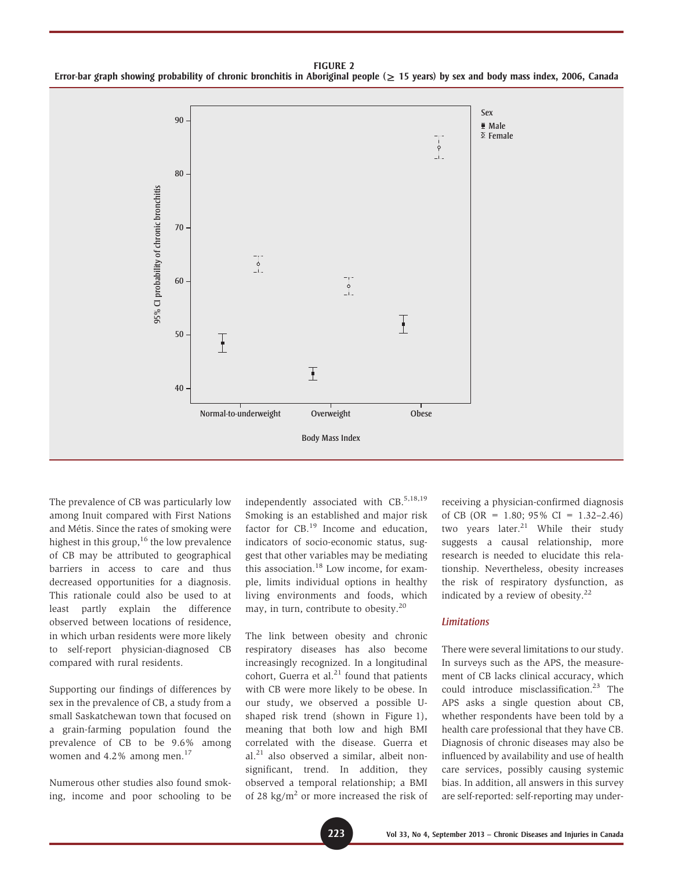FIGURE 2 Error-bar graph showing probability of chronic bronchitis in Aboriginal people ( $\geq$  15 years) by sex and body mass index, 2006, Canada



The prevalence of CB was particularly low among Inuit compared with First Nations and Métis. Since the rates of smoking were highest in this group,  $16$  the low prevalence of CB may be attributed to geographical barriers in access to care and thus decreased opportunities for a diagnosis. This rationale could also be used to at least partly explain the difference observed between locations of residence, in which urban residents were more likely to self-report physician-diagnosed CB compared with rural residents.

Supporting our findings of differences by sex in the prevalence of CB, a study from a small Saskatchewan town that focused on a grain-farming population found the prevalence of CB to be 9.6% among women and 4.2% among men.<sup>17</sup>

Numerous other studies also found smoking, income and poor schooling to be independently associated with CB.<sup>5,18,19</sup> Smoking is an established and major risk factor for CB.<sup>19</sup> Income and education, indicators of socio-economic status, suggest that other variables may be mediating this association.<sup>18</sup> Low income, for example, limits individual options in healthy living environments and foods, which may, in turn, contribute to obesity.20

The link between obesity and chronic respiratory diseases has also become increasingly recognized. In a longitudinal cohort, Guerra et al. $^{21}$  found that patients with CB were more likely to be obese. In our study, we observed a possible Ushaped risk trend (shown in Figure 1), meaning that both low and high BMI correlated with the disease. Guerra et al.<sup>21</sup> also observed a similar, albeit nonsignificant, trend. In addition, they observed a temporal relationship; a BMI of 28 kg/ $m<sup>2</sup>$  or more increased the risk of

receiving a physician-confirmed diagnosis of CB (OR =  $1.80$ ; 95% CI =  $1.32-2.46$ ) two years later. $21$  While their study suggests a causal relationship, more research is needed to elucidate this relationship. Nevertheless, obesity increases the risk of respiratory dysfunction, as indicated by a review of obesity. $22$ 

#### Limitations

There were several limitations to our study. In surveys such as the APS, the measurement of CB lacks clinical accuracy, which could introduce misclassification.<sup>23</sup> The APS asks a single question about CB, whether respondents have been told by a health care professional that they have CB. Diagnosis of chronic diseases may also be influenced by availability and use of health care services, possibly causing systemic bias. In addition, all answers in this survey are self-reported: self-reporting may under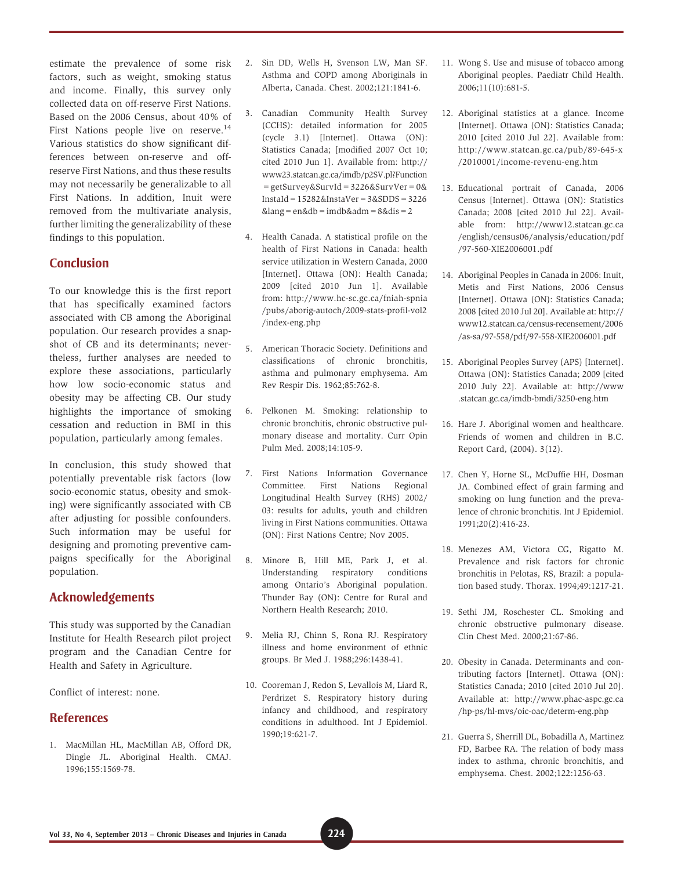estimate the prevalence of some risk factors, such as weight, smoking status and income. Finally, this survey only collected data on off-reserve First Nations. Based on the 2006 Census, about 40% of First Nations people live on reserve.<sup>14</sup> Various statistics do show significant differences between on-reserve and offreserve First Nations, and thus these results may not necessarily be generalizable to all First Nations. In addition, Inuit were removed from the multivariate analysis, further limiting the generalizability of these findings to this population.

# Conclusion

To our knowledge this is the first report that has specifically examined factors associated with CB among the Aboriginal population. Our research provides a snapshot of CB and its determinants; nevertheless, further analyses are needed to explore these associations, particularly how low socio-economic status and obesity may be affecting CB. Our study highlights the importance of smoking cessation and reduction in BMI in this population, particularly among females.

In conclusion, this study showed that potentially preventable risk factors (low socio-economic status, obesity and smoking) were significantly associated with CB after adjusting for possible confounders. Such information may be useful for designing and promoting preventive campaigns specifically for the Aboriginal population.

## Acknowledgements

This study was supported by the Canadian Institute for Health Research pilot project program and the Canadian Centre for Health and Safety in Agriculture.

Conflict of interest: none.

### **References**

1. MacMillan HL, MacMillan AB, Offord DR, Dingle JL. Aboriginal Health. CMAJ. 1996;155:1569-78.

- 2. Sin DD, Wells H, Svenson LW, Man SF. Asthma and COPD among Aboriginals in Alberta, Canada. Chest. 2002;121:1841-6.
- 3. Canadian Community Health Survey (CCHS): detailed information for 2005 (cycle 3.1) [Internet]. Ottawa (ON): Statistics Canada; [modified 2007 Oct 10; cited 2010 Jun 1]. Available from: http:// www23.statcan.gc.ca/imdb/p2SV.pl?Function =getSurvey&SurvId=3226&SurvVer=0& InstaId=15282&InstaVer=3&SDDS=3226  $&$ lang = en $&$ db = imdb $&$ adm =  $&$ dis =  $2$
- 4. Health Canada. A statistical profile on the health of First Nations in Canada: health service utilization in Western Canada, 2000 [Internet]. Ottawa (ON): Health Canada; 2009 [cited 2010 Jun 1]. Available from: http://www.hc-sc.gc.ca/fniah-spnia /pubs/aborig-autoch/2009-stats-profil-vol2 /index-eng.php
- 5. American Thoracic Society. Definitions and classifications of chronic bronchitis, asthma and pulmonary emphysema. Am Rev Respir Dis. 1962;85:762-8.
- 6. Pelkonen M. Smoking: relationship to chronic bronchitis, chronic obstructive pulmonary disease and mortality. Curr Opin Pulm Med. 2008;14:105-9.
- 7. First Nations Information Governance Committee. First Nations Regional Longitudinal Health Survey (RHS) 2002/ 03: results for adults, youth and children living in First Nations communities. Ottawa (ON): First Nations Centre; Nov 2005.
- 8. Minore B, Hill ME, Park J, et al. Understanding respiratory conditions among Ontario's Aboriginal population. Thunder Bay (ON): Centre for Rural and Northern Health Research; 2010.
- 9. Melia RJ, Chinn S, Rona RJ. Respiratory illness and home environment of ethnic groups. Br Med J. 1988;296:1438-41.
- 10. Cooreman J, Redon S, Levallois M, Liard R, Perdrizet S. Respiratory history during infancy and childhood, and respiratory conditions in adulthood. Int J Epidemiol. 1990;19:621-7.
- 11. Wong S. Use and misuse of tobacco among Aboriginal peoples. Paediatr Child Health. 2006;11(10):681-5.
- 12. Aboriginal statistics at a glance. Income [Internet]. Ottawa (ON): Statistics Canada; 2010 [cited 2010 Jul 22]. Available from: http://www.statcan.gc.ca/pub/89-645-x /2010001/income-revenu-eng.htm
- 13. Educational portrait of Canada, 2006 Census [Internet]. Ottawa (ON): Statistics Canada; 2008 [cited 2010 Jul 22]. Available from: http://www12.statcan.gc.ca /english/census06/analysis/education/pdf /97-560-XIE2006001.pdf
- 14. Aboriginal Peoples in Canada in 2006: Inuit, Metis and First Nations, 2006 Census [Internet]. Ottawa (ON): Statistics Canada; 2008 [cited 2010 Jul 20]. Available at: http:// www12.statcan.ca/census-recensement/2006 /as-sa/97-558/pdf/97-558-XIE2006001.pdf
- 15. Aboriginal Peoples Survey (APS) [Internet]. Ottawa (ON): Statistics Canada; 2009 [cited 2010 July 22]. Available at: http://www .statcan.gc.ca/imdb-bmdi/3250-eng.htm
- 16. Hare J. Aboriginal women and healthcare. Friends of women and children in B.C. Report Card, (2004). 3(12).
- 17. Chen Y, Horne SL, McDuffie HH, Dosman JA. Combined effect of grain farming and smoking on lung function and the prevalence of chronic bronchitis. Int J Epidemiol. 1991;20(2):416-23.
- 18. Menezes AM, Victora CG, Rigatto M. Prevalence and risk factors for chronic bronchitis in Pelotas, RS, Brazil: a population based study. Thorax. 1994;49:1217-21.
- 19. Sethi JM, Roschester CL. Smoking and chronic obstructive pulmonary disease. Clin Chest Med. 2000;21:67-86.
- 20. Obesity in Canada. Determinants and contributing factors [Internet]. Ottawa (ON): Statistics Canada; 2010 [cited 2010 Jul 20]. Available at: http://www.phac-aspc.gc.ca /hp-ps/hl-mvs/oic-oac/determ-eng.php
- 21. Guerra S, Sherrill DL, Bobadilla A, Martinez FD, Barbee RA. The relation of body mass index to asthma, chronic bronchitis, and emphysema. Chest. 2002;122:1256-63.